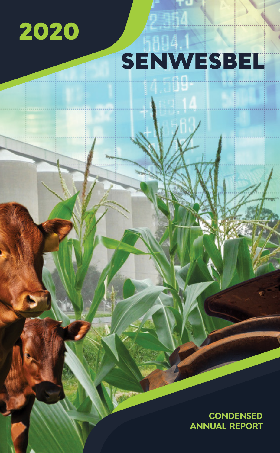

# SENWESBEL

**CONDENSED ANNUAL REPORT**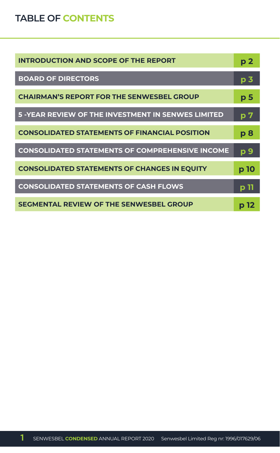## **TABLE OF CONTENTS**

| <b>INTRODUCTION AND SCOPE OF THE REPORT</b>               | p <sub>2</sub> |
|-----------------------------------------------------------|----------------|
| <b>BOARD OF DIRECTORS</b>                                 | p <sub>3</sub> |
| <b>CHAIRMAN'S REPORT FOR THE SENWESBEL GROUP</b>          | p <sub>5</sub> |
| <b>5 -YEAR REVIEW OF THE INVESTMENT IN SENWES LIMITED</b> | p 7            |
| <b>CONSOLIDATED STATEMENTS OF FINANCIAL POSITION</b>      | p8             |
| <b>CONSOLIDATED STATEMENTS OF COMPREHENSIVE INCOME</b>    | p 9            |
| <b>CONSOLIDATED STATEMENTS OF CHANGES IN EQUITY</b>       | p 10           |
| <b>CONSOLIDATED STATEMENTS OF CASH FLOWS</b>              | p 11           |
| <b>SEGMENTAL REVIEW OF THE SENWESBEL GROUP</b>            | p 12           |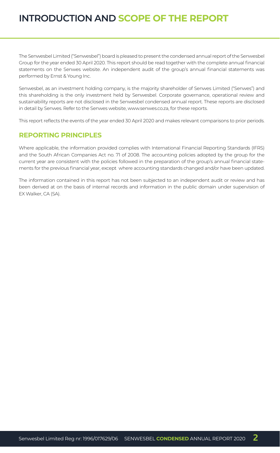## **INTRODUCTION AND SCOPE OF THE REPORT**

The Senwesbel Limited ("Senwesbel") board is pleased to present the condensed annual report of the Senwesbel Group for the year ended 30 April 2020. This report should be read together with the complete annual financial statements on the Senwes website. An independent audit of the group's annual financial statements was performed by Ernst & Young Inc.

Senwesbel, as an investment holding company, is the majority shareholder of Senwes Limited ("Senwes") and this shareholding is the only investment held by Senwesbel. Corporate governance, operational review and sustainability reports are not disclosed in the Senwesbel condensed annual report. These reports are disclosed in detail by Senwes. Refer to the Senwes website, www.senwes.co.za, for these reports.

This report reflects the events of the year ended 30 April 2020 and makes relevant comparisons to prior periods.

#### **REPORTING PRINCIPLES**

Where applicable, the information provided complies with International Financial Reporting Standards (IFRS) and the South African Companies Act no. 71 of 2008. The accounting policies adopted by the group for the current year are consistent with the policies followed in the preparation of the group's annual financial statements for the previous financial year, except where accounting standards changed and/or have been updated.

The information contained in this report has not been subjected to an independent audit or review and has been derived at on the basis of internal records and information in the public domain under supervision of EX Walker, CA (SA).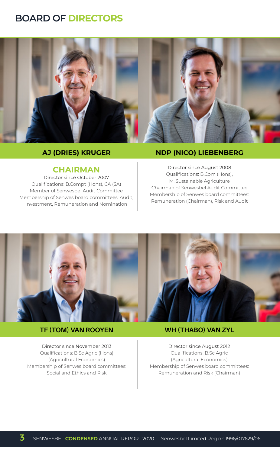## **BOARD OF DIRECTORS**



#### **AJ (DRIES) KRUGER**

#### **CHAIRMAN**

Director since October 2007 Qualifications: B.Compt (Hons), CA (SA) Member of Senwesbel Audit Committee Membership of Senwes board committees: Audit, Investment, Remuneration and Nomination

#### **NDP (NICO) LIEBENBERG**

Director since August 2008 Qualifications: B.Com (Hons), M. Sustainable Agriculture Chairman of Senwesbel Audit Committee Membership of Senwes board committees: Remuneration (Chairman), Risk and Audit



#### **TF (TOM) VAN ROOYEN**

Director since November 2013 Qualifications: B.Sc Agric (Hons) (Agricultural Economics) Membership of Senwes board committees: Social and Ethics and Risk

#### **WH (THABO) VAN ZYL**

Director since August 2012 Qualifications: B.Sc Agric (Agricultural Economics) Membership of Senwes board committees: Remuneration and Risk (Chairman)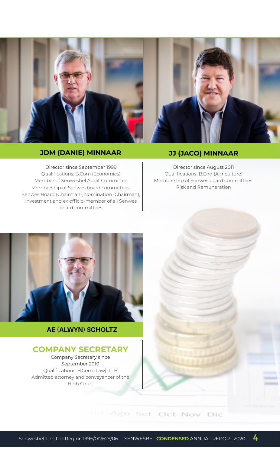

### **JDM (DANIE) MINNAAR JJ (JACO) MINNAAR**

Director since September 1999 Qualifications: B.Com (Economics) Member of Senwesbel Audit Committee Membership of Senwes board committees: Senwes Board (Chairman), Nomination (Chairman), Investment and ex officio-member of all Senwes board committees

Director since August 2011 Qualifications: B.Eng (Agriculture) Membership of Senwes board committees: Risk and Remuneration



### **AE (ALWYN) SCHOLTZ**

#### **COMPANY SECRETARY**

Company Secretary since September 2010 Qualifications: B.Com (Law), LLB Admitted attorney and conveyancer of the High Court

Jul Ago Set Oct Nov Dic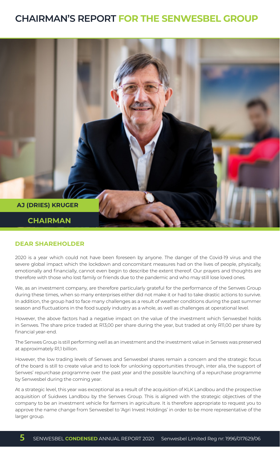## **CHAIRMAN'S REPORT FOR THE SENWESBEL GROUP**



#### **DEAR SHAREHOLDER**

2020 is a year which could not have been foreseen by anyone. The danger of the Covid-19 virus and the severe global impact which the lockdown and concomitant measures had on the lives of people, physically, emotionally and financially, cannot even begin to describe the extent thereof. Our prayers and thoughts are therefore with those who lost family or friends due to the pandemic and who may still lose loved ones.

We, as an investment company, are therefore particularly grateful for the performance of the Senwes Group during these times, when so many enterprises either did not make it or had to take drastic actions to survive. In addition, the group had to face many challenges as a result of weather conditions during the past summer season and fluctuations in the food supply industry as a whole, as well as challenges at operational level.

However, the above factors had a negative impact on the value of the investment which Senwesbel holds in Senwes. The share price traded at R13,00 per share during the year, but traded at only R11,00 per share by financial year-end.

The Senwes Group is still performing well as an investment and the investment value in Senwes was preserved at approximately R1,1 billion.

However, the low trading levels of Senwes and Senwesbel shares remain a concern and the strategic focus of the board is still to create value and to look for unlocking opportunities through, inter alia, the support of Senwes' repurchase programme over the past year and the possible launching of a repurchase programme by Senwesbel during the coming year.

At a strategic level, this year was exceptional as a result of the acquisition of KLK Landbou and the prospective acquisition of Suidwes Landbou by the Senwes Group. This is aligned with the strategic objectives of the company to be an investment vehicle for farmers in agriculture. It is therefore appropriate to request you to approve the name change from Senwesbel to 'Agri Invest Holdings' in order to be more representative of the larger group.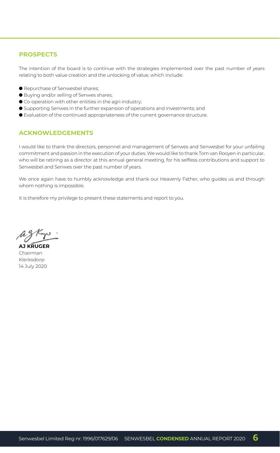#### **PROSPECTS**

The intention of the board is to continue with the strategies implemented over the past number of years relating to both value creation and the unlocking of value, which include:

- **Repurchase of Senwesbel shares;**
- Buying and/or selling of Senwes shares;
- $\bullet$  Co-operation with other entities in the agri-industry;
- l Supporting Senwes in the further expansion of operations and investments; and
- l Evaluation of the continued appropriateness of the current governance structure.

#### **ACKNOWLEDGEMENTS**

I would like to thank the directors, personnel and management of Senwes and Senwesbel for your unfailing commitment and passion in the execution of your duties. We would like to thank Tom van Rooyen in particular, who will be retiring as a director at this annual general meeting, for his selfless contributions and support to Senwesbel and Senwes over the past number of years.

We once again have to humbly acknowledge and thank our Heavenly Father, who guides us and through whom nothing is impossible.

It is therefore my privilege to present these statements and report to you.

**AJ KRUGER** Chairman Klerksdorp 14 July 2020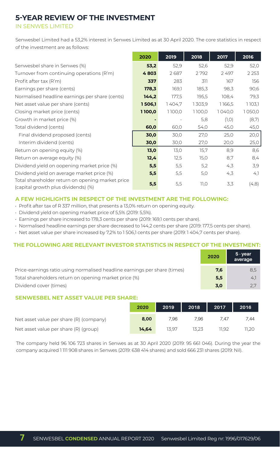## **5-YEAR REVIEW OF THE INVESTMENT**

IN SENWES LIMITED

Senwesbel Limited had a 53,2% interest in Senwes Limited as at 30 April 2020. The core statistics in respect of the investment are as follows:

|                                                                                         | 2020   | 2019   | 2018   | 2017   | 2016    |
|-----------------------------------------------------------------------------------------|--------|--------|--------|--------|---------|
| Senwesbel share in Senwes (%)                                                           | 53,2   | 52.9   | 52,6   | 52,9   | 52,0    |
| Turnover from continuing operations (R'm)                                               | 4803   | 2687   | 2792   | 2497   | 2 2 5 3 |
| Profit after tax (R'm)                                                                  | 337    | 283    | 311    | 167    | 156     |
| Earnings per share (cents)                                                              | 178,3  | 169,1  | 185,3  | 98,3   | 90,6    |
| Normalised headline earnings per share (cents)                                          | 144,2  | 177,5  | 195,5  | 108,4  | 79.3    |
| Net asset value per share (cents)                                                       | 1506,1 | 1404,7 | 1303,9 | 1166,5 | 1103,1  |
| Closing market price (cents)                                                            | 1100,0 | 1100,0 | 1100,0 | 1040,0 | 1050,0  |
| Growth in market price (%)                                                              |        |        | 5,8    | (1, 0) | (8,7)   |
| Total dividend (cents)                                                                  | 60,0   | 60,0   | 54,0   | 45,0   | 45,0    |
| Final dividend proposed (cents)                                                         | 30,0   | 30,0   | 27,0   | 25,0   | 20,0    |
| Interim dividend (cents)                                                                | 30,0   | 30,0   | 27,0   | 20,0   | 25,0    |
| Return on opening equity (%)                                                            | 13,0   | 13,0   | 15,7   | 8,9    | 8,6     |
| Return on average equity (%)                                                            | 12,4   | 12.5   | 15,0   | 8,7    | 8,4     |
| Dividend yield on oopening market price (%)                                             | 5,5    | 5,5    | 5,2    | 4,3    | 3,9     |
| Dividend yield on average market price (%)                                              | 5,5    | 5,5    | 5,0    | 4,3    | 4,1     |
| Total shareholder return on opening market price<br>(capital growth plus dividends) (%) | 5,5    | 5,5    | 11,0   | 3,3    | (4,8)   |

#### **A FEW HIGHLIGHTS IN RESPECT OF THE INVESTMENT ARE THE FOLLOWING:**

- Profit after tax of R 337 million, that presents a 13,0% return on opening equity.
- Dividend yield on opening market price of 5,5% (2019: 5,5%).
- Earnings per share increased to 178,3 cents per share (2019: 169,1 cents per share).
- Normalised headline earnings per share decreased to 144,2 cents per share (2019: 177,5 cents per share).
- Net asset value per share increased by 7,2% to 1 506,1 cents per share (2019: 1 404,7 cents per share).

#### **THE FOLLOWING ARE RELEVANT INVESTOR STATISTICS IN RESPECT OF THE INVESTMENT:**

|                                                                           | 2020 | 5 - vear<br>average |
|---------------------------------------------------------------------------|------|---------------------|
| Price-earnings ratio using normalised headline earnings per share (times) | 7,6  | 8.5                 |
| Total shareholders return on opening market price (%)                     | 5,5  | 4.1                 |
| Dividend cover (times)                                                    | 3,0  |                     |

#### **SENWESBEL NET ASSET VALUE PER SHARE:**

|                                         | 2020  | 2019  | 2018 | 2017  | 2016  |
|-----------------------------------------|-------|-------|------|-------|-------|
| Net asset value per share (R) (company) | 8,00  | 7.96  | 7.96 | /4/   | 7.44  |
| Net asset value per share (R) (group)   | 14.64 | 13.97 |      | 11.92 | 11.20 |

The company held 96 106 723 shares in Senwes as at 30 April 2020 (2019: 95 661 046). During the year the company acquired 1 111 908 shares in Senwes (2019: 638 414 shares) and sold 666 231 shares (2019: Nil).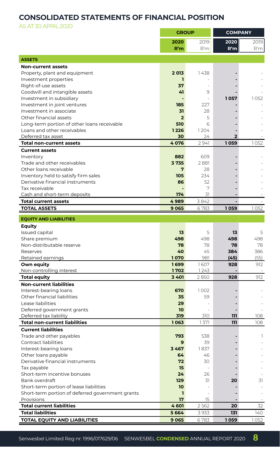## **CONSOLIDATED STATEMENTS OF FINANCIAL POSITION**

AS AT 30 APRIL 2020

| 2020<br>2019<br>2020<br>2019<br>R'm<br>R'm<br>R'm<br>R'm<br><b>ASSETS</b><br><b>Non-current assets</b><br>2013<br>Property, plant and equipment<br>1438<br>Investment properties<br>ı<br>Right-of-use assets<br>37<br>Goodwill and intangible assets<br>41<br>9<br>Investment in subsidiary<br>1057<br>1052<br>Investment in joint ventures<br>185<br>227<br>Investment in associate<br>28<br>31<br>Other financial assets<br>5<br>$\overline{2}$<br>Long-term portion of other loans receivable<br>510<br>6<br>Loans and other receivables<br>1226<br>1204<br>Deferred tax asset<br>30<br>24<br>2<br><b>Total non-current assets</b><br>4076<br>2941<br>1059<br>1052<br><b>Current assets</b><br>882<br>609<br>Inventory<br>Trade and other receivables<br>3735<br>2881<br>Other loans receivable<br>28<br>7<br>105<br>234<br>Inventory held to satisfy firm sales<br>Derivative financial instruments<br>86<br>52<br>7<br>Tax receivable<br>Cash and short-term deposits<br>174<br>31<br>3842<br>4989<br><b>Total current assets</b><br><b>TOTAL ASSETS</b><br>9 0 65<br>6783<br>1059<br>1052<br><b>EOUITY AND LIABILITIES</b><br><b>Equity</b><br>Issued capital<br>13<br>5<br>13<br>5<br>498<br>498<br>498<br>498<br>Share premium<br>Non-distributable reserve<br>78<br>78<br>78<br>78<br>40<br>Reserves<br>45<br>384<br>386<br>1070<br>981<br>(45)<br>(55)<br>Retained earnings<br>1699<br>1607<br>Own equity<br>928<br>912<br>Non-controlling interest<br>1702<br>1243<br><b>Total equity</b><br>3 4 0 1<br>2850<br>928<br>912<br><b>Non-current liabilities</b><br>Interest-bearing loans<br>670<br>1002<br>Other financial liabilities<br>35<br>59<br>Lease liabilities<br>29<br>Deferred government grants<br>10<br>Deferred tax liability<br>319<br>310<br>111<br>108<br><b>Total non-current liabilities</b><br>111<br>1063<br>1371<br>108<br><b>Current liabilities</b><br>Trade and other payables<br>793<br>538<br>1<br>Contract liabilities<br>39<br>9<br>Interest-bearing loans<br>3467<br>1837<br>Other loans payable<br>46<br>64<br>Derivative financial instruments<br>72<br>30<br>15<br>Tax payable<br>$\sim$<br>Short-term incentive bonuses<br>24<br>26<br>Bank overdraft<br>129<br>31<br>20<br>31<br>Short-term portion of lease liabilities<br>10<br>Short-term portion of deferred government grants<br>ı.<br>Provisions<br>17<br>15<br><b>Total current liabilities</b><br>4601<br>20<br>2562<br>32<br><b>Total liabilities</b><br>5664<br>131<br>3933<br>140<br><b>TOTAL EQUITY AND LIABILITIES</b><br>9 0 65<br>6783<br>1059<br>1052 | <b>GROUP</b> | <b>COMPANY</b> |  |
|-------------------------------------------------------------------------------------------------------------------------------------------------------------------------------------------------------------------------------------------------------------------------------------------------------------------------------------------------------------------------------------------------------------------------------------------------------------------------------------------------------------------------------------------------------------------------------------------------------------------------------------------------------------------------------------------------------------------------------------------------------------------------------------------------------------------------------------------------------------------------------------------------------------------------------------------------------------------------------------------------------------------------------------------------------------------------------------------------------------------------------------------------------------------------------------------------------------------------------------------------------------------------------------------------------------------------------------------------------------------------------------------------------------------------------------------------------------------------------------------------------------------------------------------------------------------------------------------------------------------------------------------------------------------------------------------------------------------------------------------------------------------------------------------------------------------------------------------------------------------------------------------------------------------------------------------------------------------------------------------------------------------------------------------------------------------------------------------------------------------------------------------------------------------------------------------------------------------------------------------------------------------------------------------------------------------------------------------------------------------------------------------------------------------------------------------------------------------------------------------------------------------------------------------------------------------|--------------|----------------|--|
|                                                                                                                                                                                                                                                                                                                                                                                                                                                                                                                                                                                                                                                                                                                                                                                                                                                                                                                                                                                                                                                                                                                                                                                                                                                                                                                                                                                                                                                                                                                                                                                                                                                                                                                                                                                                                                                                                                                                                                                                                                                                                                                                                                                                                                                                                                                                                                                                                                                                                                                                                                   |              |                |  |
|                                                                                                                                                                                                                                                                                                                                                                                                                                                                                                                                                                                                                                                                                                                                                                                                                                                                                                                                                                                                                                                                                                                                                                                                                                                                                                                                                                                                                                                                                                                                                                                                                                                                                                                                                                                                                                                                                                                                                                                                                                                                                                                                                                                                                                                                                                                                                                                                                                                                                                                                                                   |              |                |  |
|                                                                                                                                                                                                                                                                                                                                                                                                                                                                                                                                                                                                                                                                                                                                                                                                                                                                                                                                                                                                                                                                                                                                                                                                                                                                                                                                                                                                                                                                                                                                                                                                                                                                                                                                                                                                                                                                                                                                                                                                                                                                                                                                                                                                                                                                                                                                                                                                                                                                                                                                                                   |              |                |  |
|                                                                                                                                                                                                                                                                                                                                                                                                                                                                                                                                                                                                                                                                                                                                                                                                                                                                                                                                                                                                                                                                                                                                                                                                                                                                                                                                                                                                                                                                                                                                                                                                                                                                                                                                                                                                                                                                                                                                                                                                                                                                                                                                                                                                                                                                                                                                                                                                                                                                                                                                                                   |              |                |  |
|                                                                                                                                                                                                                                                                                                                                                                                                                                                                                                                                                                                                                                                                                                                                                                                                                                                                                                                                                                                                                                                                                                                                                                                                                                                                                                                                                                                                                                                                                                                                                                                                                                                                                                                                                                                                                                                                                                                                                                                                                                                                                                                                                                                                                                                                                                                                                                                                                                                                                                                                                                   |              |                |  |
|                                                                                                                                                                                                                                                                                                                                                                                                                                                                                                                                                                                                                                                                                                                                                                                                                                                                                                                                                                                                                                                                                                                                                                                                                                                                                                                                                                                                                                                                                                                                                                                                                                                                                                                                                                                                                                                                                                                                                                                                                                                                                                                                                                                                                                                                                                                                                                                                                                                                                                                                                                   |              |                |  |
|                                                                                                                                                                                                                                                                                                                                                                                                                                                                                                                                                                                                                                                                                                                                                                                                                                                                                                                                                                                                                                                                                                                                                                                                                                                                                                                                                                                                                                                                                                                                                                                                                                                                                                                                                                                                                                                                                                                                                                                                                                                                                                                                                                                                                                                                                                                                                                                                                                                                                                                                                                   |              |                |  |
|                                                                                                                                                                                                                                                                                                                                                                                                                                                                                                                                                                                                                                                                                                                                                                                                                                                                                                                                                                                                                                                                                                                                                                                                                                                                                                                                                                                                                                                                                                                                                                                                                                                                                                                                                                                                                                                                                                                                                                                                                                                                                                                                                                                                                                                                                                                                                                                                                                                                                                                                                                   |              |                |  |
|                                                                                                                                                                                                                                                                                                                                                                                                                                                                                                                                                                                                                                                                                                                                                                                                                                                                                                                                                                                                                                                                                                                                                                                                                                                                                                                                                                                                                                                                                                                                                                                                                                                                                                                                                                                                                                                                                                                                                                                                                                                                                                                                                                                                                                                                                                                                                                                                                                                                                                                                                                   |              |                |  |
|                                                                                                                                                                                                                                                                                                                                                                                                                                                                                                                                                                                                                                                                                                                                                                                                                                                                                                                                                                                                                                                                                                                                                                                                                                                                                                                                                                                                                                                                                                                                                                                                                                                                                                                                                                                                                                                                                                                                                                                                                                                                                                                                                                                                                                                                                                                                                                                                                                                                                                                                                                   |              |                |  |
|                                                                                                                                                                                                                                                                                                                                                                                                                                                                                                                                                                                                                                                                                                                                                                                                                                                                                                                                                                                                                                                                                                                                                                                                                                                                                                                                                                                                                                                                                                                                                                                                                                                                                                                                                                                                                                                                                                                                                                                                                                                                                                                                                                                                                                                                                                                                                                                                                                                                                                                                                                   |              |                |  |
|                                                                                                                                                                                                                                                                                                                                                                                                                                                                                                                                                                                                                                                                                                                                                                                                                                                                                                                                                                                                                                                                                                                                                                                                                                                                                                                                                                                                                                                                                                                                                                                                                                                                                                                                                                                                                                                                                                                                                                                                                                                                                                                                                                                                                                                                                                                                                                                                                                                                                                                                                                   |              |                |  |
|                                                                                                                                                                                                                                                                                                                                                                                                                                                                                                                                                                                                                                                                                                                                                                                                                                                                                                                                                                                                                                                                                                                                                                                                                                                                                                                                                                                                                                                                                                                                                                                                                                                                                                                                                                                                                                                                                                                                                                                                                                                                                                                                                                                                                                                                                                                                                                                                                                                                                                                                                                   |              |                |  |
|                                                                                                                                                                                                                                                                                                                                                                                                                                                                                                                                                                                                                                                                                                                                                                                                                                                                                                                                                                                                                                                                                                                                                                                                                                                                                                                                                                                                                                                                                                                                                                                                                                                                                                                                                                                                                                                                                                                                                                                                                                                                                                                                                                                                                                                                                                                                                                                                                                                                                                                                                                   |              |                |  |
|                                                                                                                                                                                                                                                                                                                                                                                                                                                                                                                                                                                                                                                                                                                                                                                                                                                                                                                                                                                                                                                                                                                                                                                                                                                                                                                                                                                                                                                                                                                                                                                                                                                                                                                                                                                                                                                                                                                                                                                                                                                                                                                                                                                                                                                                                                                                                                                                                                                                                                                                                                   |              |                |  |
|                                                                                                                                                                                                                                                                                                                                                                                                                                                                                                                                                                                                                                                                                                                                                                                                                                                                                                                                                                                                                                                                                                                                                                                                                                                                                                                                                                                                                                                                                                                                                                                                                                                                                                                                                                                                                                                                                                                                                                                                                                                                                                                                                                                                                                                                                                                                                                                                                                                                                                                                                                   |              |                |  |
|                                                                                                                                                                                                                                                                                                                                                                                                                                                                                                                                                                                                                                                                                                                                                                                                                                                                                                                                                                                                                                                                                                                                                                                                                                                                                                                                                                                                                                                                                                                                                                                                                                                                                                                                                                                                                                                                                                                                                                                                                                                                                                                                                                                                                                                                                                                                                                                                                                                                                                                                                                   |              |                |  |
|                                                                                                                                                                                                                                                                                                                                                                                                                                                                                                                                                                                                                                                                                                                                                                                                                                                                                                                                                                                                                                                                                                                                                                                                                                                                                                                                                                                                                                                                                                                                                                                                                                                                                                                                                                                                                                                                                                                                                                                                                                                                                                                                                                                                                                                                                                                                                                                                                                                                                                                                                                   |              |                |  |
|                                                                                                                                                                                                                                                                                                                                                                                                                                                                                                                                                                                                                                                                                                                                                                                                                                                                                                                                                                                                                                                                                                                                                                                                                                                                                                                                                                                                                                                                                                                                                                                                                                                                                                                                                                                                                                                                                                                                                                                                                                                                                                                                                                                                                                                                                                                                                                                                                                                                                                                                                                   |              |                |  |
|                                                                                                                                                                                                                                                                                                                                                                                                                                                                                                                                                                                                                                                                                                                                                                                                                                                                                                                                                                                                                                                                                                                                                                                                                                                                                                                                                                                                                                                                                                                                                                                                                                                                                                                                                                                                                                                                                                                                                                                                                                                                                                                                                                                                                                                                                                                                                                                                                                                                                                                                                                   |              |                |  |
|                                                                                                                                                                                                                                                                                                                                                                                                                                                                                                                                                                                                                                                                                                                                                                                                                                                                                                                                                                                                                                                                                                                                                                                                                                                                                                                                                                                                                                                                                                                                                                                                                                                                                                                                                                                                                                                                                                                                                                                                                                                                                                                                                                                                                                                                                                                                                                                                                                                                                                                                                                   |              |                |  |
|                                                                                                                                                                                                                                                                                                                                                                                                                                                                                                                                                                                                                                                                                                                                                                                                                                                                                                                                                                                                                                                                                                                                                                                                                                                                                                                                                                                                                                                                                                                                                                                                                                                                                                                                                                                                                                                                                                                                                                                                                                                                                                                                                                                                                                                                                                                                                                                                                                                                                                                                                                   |              |                |  |
|                                                                                                                                                                                                                                                                                                                                                                                                                                                                                                                                                                                                                                                                                                                                                                                                                                                                                                                                                                                                                                                                                                                                                                                                                                                                                                                                                                                                                                                                                                                                                                                                                                                                                                                                                                                                                                                                                                                                                                                                                                                                                                                                                                                                                                                                                                                                                                                                                                                                                                                                                                   |              |                |  |
|                                                                                                                                                                                                                                                                                                                                                                                                                                                                                                                                                                                                                                                                                                                                                                                                                                                                                                                                                                                                                                                                                                                                                                                                                                                                                                                                                                                                                                                                                                                                                                                                                                                                                                                                                                                                                                                                                                                                                                                                                                                                                                                                                                                                                                                                                                                                                                                                                                                                                                                                                                   |              |                |  |
|                                                                                                                                                                                                                                                                                                                                                                                                                                                                                                                                                                                                                                                                                                                                                                                                                                                                                                                                                                                                                                                                                                                                                                                                                                                                                                                                                                                                                                                                                                                                                                                                                                                                                                                                                                                                                                                                                                                                                                                                                                                                                                                                                                                                                                                                                                                                                                                                                                                                                                                                                                   |              |                |  |
|                                                                                                                                                                                                                                                                                                                                                                                                                                                                                                                                                                                                                                                                                                                                                                                                                                                                                                                                                                                                                                                                                                                                                                                                                                                                                                                                                                                                                                                                                                                                                                                                                                                                                                                                                                                                                                                                                                                                                                                                                                                                                                                                                                                                                                                                                                                                                                                                                                                                                                                                                                   |              |                |  |
|                                                                                                                                                                                                                                                                                                                                                                                                                                                                                                                                                                                                                                                                                                                                                                                                                                                                                                                                                                                                                                                                                                                                                                                                                                                                                                                                                                                                                                                                                                                                                                                                                                                                                                                                                                                                                                                                                                                                                                                                                                                                                                                                                                                                                                                                                                                                                                                                                                                                                                                                                                   |              |                |  |
|                                                                                                                                                                                                                                                                                                                                                                                                                                                                                                                                                                                                                                                                                                                                                                                                                                                                                                                                                                                                                                                                                                                                                                                                                                                                                                                                                                                                                                                                                                                                                                                                                                                                                                                                                                                                                                                                                                                                                                                                                                                                                                                                                                                                                                                                                                                                                                                                                                                                                                                                                                   |              |                |  |
|                                                                                                                                                                                                                                                                                                                                                                                                                                                                                                                                                                                                                                                                                                                                                                                                                                                                                                                                                                                                                                                                                                                                                                                                                                                                                                                                                                                                                                                                                                                                                                                                                                                                                                                                                                                                                                                                                                                                                                                                                                                                                                                                                                                                                                                                                                                                                                                                                                                                                                                                                                   |              |                |  |
|                                                                                                                                                                                                                                                                                                                                                                                                                                                                                                                                                                                                                                                                                                                                                                                                                                                                                                                                                                                                                                                                                                                                                                                                                                                                                                                                                                                                                                                                                                                                                                                                                                                                                                                                                                                                                                                                                                                                                                                                                                                                                                                                                                                                                                                                                                                                                                                                                                                                                                                                                                   |              |                |  |
|                                                                                                                                                                                                                                                                                                                                                                                                                                                                                                                                                                                                                                                                                                                                                                                                                                                                                                                                                                                                                                                                                                                                                                                                                                                                                                                                                                                                                                                                                                                                                                                                                                                                                                                                                                                                                                                                                                                                                                                                                                                                                                                                                                                                                                                                                                                                                                                                                                                                                                                                                                   |              |                |  |
|                                                                                                                                                                                                                                                                                                                                                                                                                                                                                                                                                                                                                                                                                                                                                                                                                                                                                                                                                                                                                                                                                                                                                                                                                                                                                                                                                                                                                                                                                                                                                                                                                                                                                                                                                                                                                                                                                                                                                                                                                                                                                                                                                                                                                                                                                                                                                                                                                                                                                                                                                                   |              |                |  |
|                                                                                                                                                                                                                                                                                                                                                                                                                                                                                                                                                                                                                                                                                                                                                                                                                                                                                                                                                                                                                                                                                                                                                                                                                                                                                                                                                                                                                                                                                                                                                                                                                                                                                                                                                                                                                                                                                                                                                                                                                                                                                                                                                                                                                                                                                                                                                                                                                                                                                                                                                                   |              |                |  |
|                                                                                                                                                                                                                                                                                                                                                                                                                                                                                                                                                                                                                                                                                                                                                                                                                                                                                                                                                                                                                                                                                                                                                                                                                                                                                                                                                                                                                                                                                                                                                                                                                                                                                                                                                                                                                                                                                                                                                                                                                                                                                                                                                                                                                                                                                                                                                                                                                                                                                                                                                                   |              |                |  |
|                                                                                                                                                                                                                                                                                                                                                                                                                                                                                                                                                                                                                                                                                                                                                                                                                                                                                                                                                                                                                                                                                                                                                                                                                                                                                                                                                                                                                                                                                                                                                                                                                                                                                                                                                                                                                                                                                                                                                                                                                                                                                                                                                                                                                                                                                                                                                                                                                                                                                                                                                                   |              |                |  |
|                                                                                                                                                                                                                                                                                                                                                                                                                                                                                                                                                                                                                                                                                                                                                                                                                                                                                                                                                                                                                                                                                                                                                                                                                                                                                                                                                                                                                                                                                                                                                                                                                                                                                                                                                                                                                                                                                                                                                                                                                                                                                                                                                                                                                                                                                                                                                                                                                                                                                                                                                                   |              |                |  |
|                                                                                                                                                                                                                                                                                                                                                                                                                                                                                                                                                                                                                                                                                                                                                                                                                                                                                                                                                                                                                                                                                                                                                                                                                                                                                                                                                                                                                                                                                                                                                                                                                                                                                                                                                                                                                                                                                                                                                                                                                                                                                                                                                                                                                                                                                                                                                                                                                                                                                                                                                                   |              |                |  |
|                                                                                                                                                                                                                                                                                                                                                                                                                                                                                                                                                                                                                                                                                                                                                                                                                                                                                                                                                                                                                                                                                                                                                                                                                                                                                                                                                                                                                                                                                                                                                                                                                                                                                                                                                                                                                                                                                                                                                                                                                                                                                                                                                                                                                                                                                                                                                                                                                                                                                                                                                                   |              |                |  |
|                                                                                                                                                                                                                                                                                                                                                                                                                                                                                                                                                                                                                                                                                                                                                                                                                                                                                                                                                                                                                                                                                                                                                                                                                                                                                                                                                                                                                                                                                                                                                                                                                                                                                                                                                                                                                                                                                                                                                                                                                                                                                                                                                                                                                                                                                                                                                                                                                                                                                                                                                                   |              |                |  |
|                                                                                                                                                                                                                                                                                                                                                                                                                                                                                                                                                                                                                                                                                                                                                                                                                                                                                                                                                                                                                                                                                                                                                                                                                                                                                                                                                                                                                                                                                                                                                                                                                                                                                                                                                                                                                                                                                                                                                                                                                                                                                                                                                                                                                                                                                                                                                                                                                                                                                                                                                                   |              |                |  |
|                                                                                                                                                                                                                                                                                                                                                                                                                                                                                                                                                                                                                                                                                                                                                                                                                                                                                                                                                                                                                                                                                                                                                                                                                                                                                                                                                                                                                                                                                                                                                                                                                                                                                                                                                                                                                                                                                                                                                                                                                                                                                                                                                                                                                                                                                                                                                                                                                                                                                                                                                                   |              |                |  |
|                                                                                                                                                                                                                                                                                                                                                                                                                                                                                                                                                                                                                                                                                                                                                                                                                                                                                                                                                                                                                                                                                                                                                                                                                                                                                                                                                                                                                                                                                                                                                                                                                                                                                                                                                                                                                                                                                                                                                                                                                                                                                                                                                                                                                                                                                                                                                                                                                                                                                                                                                                   |              |                |  |
|                                                                                                                                                                                                                                                                                                                                                                                                                                                                                                                                                                                                                                                                                                                                                                                                                                                                                                                                                                                                                                                                                                                                                                                                                                                                                                                                                                                                                                                                                                                                                                                                                                                                                                                                                                                                                                                                                                                                                                                                                                                                                                                                                                                                                                                                                                                                                                                                                                                                                                                                                                   |              |                |  |
|                                                                                                                                                                                                                                                                                                                                                                                                                                                                                                                                                                                                                                                                                                                                                                                                                                                                                                                                                                                                                                                                                                                                                                                                                                                                                                                                                                                                                                                                                                                                                                                                                                                                                                                                                                                                                                                                                                                                                                                                                                                                                                                                                                                                                                                                                                                                                                                                                                                                                                                                                                   |              |                |  |
|                                                                                                                                                                                                                                                                                                                                                                                                                                                                                                                                                                                                                                                                                                                                                                                                                                                                                                                                                                                                                                                                                                                                                                                                                                                                                                                                                                                                                                                                                                                                                                                                                                                                                                                                                                                                                                                                                                                                                                                                                                                                                                                                                                                                                                                                                                                                                                                                                                                                                                                                                                   |              |                |  |
|                                                                                                                                                                                                                                                                                                                                                                                                                                                                                                                                                                                                                                                                                                                                                                                                                                                                                                                                                                                                                                                                                                                                                                                                                                                                                                                                                                                                                                                                                                                                                                                                                                                                                                                                                                                                                                                                                                                                                                                                                                                                                                                                                                                                                                                                                                                                                                                                                                                                                                                                                                   |              |                |  |
|                                                                                                                                                                                                                                                                                                                                                                                                                                                                                                                                                                                                                                                                                                                                                                                                                                                                                                                                                                                                                                                                                                                                                                                                                                                                                                                                                                                                                                                                                                                                                                                                                                                                                                                                                                                                                                                                                                                                                                                                                                                                                                                                                                                                                                                                                                                                                                                                                                                                                                                                                                   |              |                |  |
|                                                                                                                                                                                                                                                                                                                                                                                                                                                                                                                                                                                                                                                                                                                                                                                                                                                                                                                                                                                                                                                                                                                                                                                                                                                                                                                                                                                                                                                                                                                                                                                                                                                                                                                                                                                                                                                                                                                                                                                                                                                                                                                                                                                                                                                                                                                                                                                                                                                                                                                                                                   |              |                |  |
|                                                                                                                                                                                                                                                                                                                                                                                                                                                                                                                                                                                                                                                                                                                                                                                                                                                                                                                                                                                                                                                                                                                                                                                                                                                                                                                                                                                                                                                                                                                                                                                                                                                                                                                                                                                                                                                                                                                                                                                                                                                                                                                                                                                                                                                                                                                                                                                                                                                                                                                                                                   |              |                |  |
|                                                                                                                                                                                                                                                                                                                                                                                                                                                                                                                                                                                                                                                                                                                                                                                                                                                                                                                                                                                                                                                                                                                                                                                                                                                                                                                                                                                                                                                                                                                                                                                                                                                                                                                                                                                                                                                                                                                                                                                                                                                                                                                                                                                                                                                                                                                                                                                                                                                                                                                                                                   |              |                |  |
|                                                                                                                                                                                                                                                                                                                                                                                                                                                                                                                                                                                                                                                                                                                                                                                                                                                                                                                                                                                                                                                                                                                                                                                                                                                                                                                                                                                                                                                                                                                                                                                                                                                                                                                                                                                                                                                                                                                                                                                                                                                                                                                                                                                                                                                                                                                                                                                                                                                                                                                                                                   |              |                |  |
|                                                                                                                                                                                                                                                                                                                                                                                                                                                                                                                                                                                                                                                                                                                                                                                                                                                                                                                                                                                                                                                                                                                                                                                                                                                                                                                                                                                                                                                                                                                                                                                                                                                                                                                                                                                                                                                                                                                                                                                                                                                                                                                                                                                                                                                                                                                                                                                                                                                                                                                                                                   |              |                |  |
|                                                                                                                                                                                                                                                                                                                                                                                                                                                                                                                                                                                                                                                                                                                                                                                                                                                                                                                                                                                                                                                                                                                                                                                                                                                                                                                                                                                                                                                                                                                                                                                                                                                                                                                                                                                                                                                                                                                                                                                                                                                                                                                                                                                                                                                                                                                                                                                                                                                                                                                                                                   |              |                |  |
|                                                                                                                                                                                                                                                                                                                                                                                                                                                                                                                                                                                                                                                                                                                                                                                                                                                                                                                                                                                                                                                                                                                                                                                                                                                                                                                                                                                                                                                                                                                                                                                                                                                                                                                                                                                                                                                                                                                                                                                                                                                                                                                                                                                                                                                                                                                                                                                                                                                                                                                                                                   |              |                |  |
|                                                                                                                                                                                                                                                                                                                                                                                                                                                                                                                                                                                                                                                                                                                                                                                                                                                                                                                                                                                                                                                                                                                                                                                                                                                                                                                                                                                                                                                                                                                                                                                                                                                                                                                                                                                                                                                                                                                                                                                                                                                                                                                                                                                                                                                                                                                                                                                                                                                                                                                                                                   |              |                |  |
|                                                                                                                                                                                                                                                                                                                                                                                                                                                                                                                                                                                                                                                                                                                                                                                                                                                                                                                                                                                                                                                                                                                                                                                                                                                                                                                                                                                                                                                                                                                                                                                                                                                                                                                                                                                                                                                                                                                                                                                                                                                                                                                                                                                                                                                                                                                                                                                                                                                                                                                                                                   |              |                |  |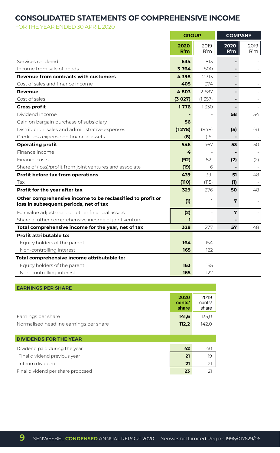### **CONSOLIDATED STATEMENTS OF COMPREHENSIVE INCOME**

н.

FOR THE YEAR ENDED 30 APRIL 2020

|                                                                                                      | <b>GROUP</b> |             | <b>COMPANY</b> |             |
|------------------------------------------------------------------------------------------------------|--------------|-------------|----------------|-------------|
|                                                                                                      | 2020<br>R'm  | 2019<br>R'm | 2020<br>R'm    | 2019<br>R'm |
| Services rendered                                                                                    | 634          | 813         |                |             |
| Income from sale of goods                                                                            | 3764         | 1500        |                |             |
| <b>Revenue from contracts with customers</b>                                                         | 4398         | 2 3 1 3     |                |             |
| Cost of sales and finance income                                                                     | 405          | 374         |                |             |
| Revenue                                                                                              | 4803         | 2687        |                |             |
| Cost of sales                                                                                        | (3027)       | (1357)      |                |             |
| <b>Gross profit</b>                                                                                  | 1776         | 1330        |                |             |
| Dividend income                                                                                      |              |             | 58             | 54          |
| Gain on bargain purchase of subsidiary                                                               | 56           |             |                |             |
| Distribution, sales and administrative expenses                                                      | (1278)       | (848)       | (5)            | (4)         |
| Credit loss expense on financial assets                                                              | (8)          | (15)        |                |             |
| <b>Operating profit</b>                                                                              | 546          | 467         | 53             | 50          |
| Finance income                                                                                       | 4            |             |                |             |
| Finance costs                                                                                        | (92)         | (82)        | (2)            | (2)         |
| Share of (loss)/profit from joint ventures and associate                                             | (19)         | Б           |                |             |
| Profit before tax from operations                                                                    | 439          | 391         | 51             | 48          |
| Tax                                                                                                  | (110)        | (115)       | (1)            |             |
| Profit for the year after tax                                                                        | 329          | 276         | 50             | 48          |
| Other comprehensive income to be reclassified to profit or<br>loss in subsequent periods, net of tax | (1)          | ı           | 7              |             |
| Fair value adjustment on other financial assets                                                      | (2)          |             | 7              |             |
| Share of other comprehensive income of joint venture                                                 | п            |             |                |             |
| Total comprehensive income for the year, net of tax                                                  | 328          | 277         | 57             | 48          |
| Profit attributable to:                                                                              |              |             |                |             |
| Equity holders of the parent                                                                         | 164          | 154         |                |             |
| Non-controlling interest                                                                             | 165          | 122         |                |             |
| Total comprehensive income attributable to:                                                          |              |             |                |             |
| Equity holders of the parent                                                                         | 163          | 155         |                |             |
| Non-controlling interest                                                                             | 165          | 122         |                |             |

| <b>EARNINGS PER SHARE</b>              |                         |                         |
|----------------------------------------|-------------------------|-------------------------|
|                                        | 2020<br>cents/<br>share | 2019<br>cents/<br>share |
| Earnings per share                     | 141,6                   | 135,0                   |
| Normalised headline earnings per share | 112,2                   | 142,0                   |
|                                        |                         |                         |
| <b>DIVIDENDS FOR THE YEAR</b>          |                         |                         |
| Dividend paid during the year          | 42                      | 40                      |

| Final dividend previous year      |  |
|-----------------------------------|--|
| Interim dividend                  |  |
| Final dividend per share proposed |  |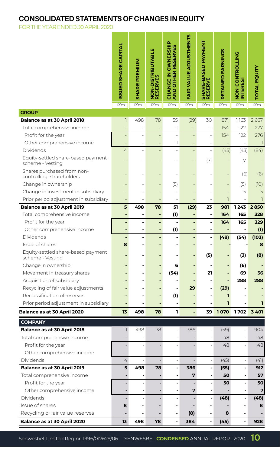## **CONSOLIDATED STATEMENTS OF CHANGES IN EQUITY**

FOR THE YEAR ENDED 30 APRIL 2020

|                                                           | <b>ISSUED SHARE CAPITAL</b> | <b>SHARE PREMIUM</b>     | NON-DISTRIBUTABLE<br>RESERVES | <b>CHANGE IN OWNERSHIP</b><br><b>AND OTHER RESERVES</b> | FAIR VALUE ADJUSTMENTS                 | SHARE-BASED PAYMENT<br>RESERVE   | RETAINED EARNINGS | <b>DZIJORIZOU-ZOZ</b><br><b>INTEREST</b> | <b>TOTAL EQUITY</b> |
|-----------------------------------------------------------|-----------------------------|--------------------------|-------------------------------|---------------------------------------------------------|----------------------------------------|----------------------------------|-------------------|------------------------------------------|---------------------|
| <b>GROUP</b>                                              | R'm                         | R'm                      | R'm                           | R'm                                                     | R'm                                    | R'm                              | R'm               | R'm                                      | R'm                 |
| Balance as at 30 April 2018                               | 1                           | 498                      | 78                            | 55                                                      | (29)                                   | 30                               | 871               | 1163                                     | 2667                |
| Total comprehensive income                                | $\overline{a}$              | ÷                        |                               | 1                                                       | $\qquad \qquad -$                      | $\overline{\phantom{m}}$         | 154               | 122                                      | 277                 |
| Profit for the year                                       | $\overline{a}$              | í,                       |                               | ÷,                                                      |                                        | ÷,                               | 154               | 122                                      | 276                 |
| Other comprehensive income                                | ÷,                          | ä,                       | $\overline{a}$                | 1                                                       | $\overline{a}$                         | ×,                               | $\overline{a}$    | ä,                                       | 1                   |
| Dividends                                                 | 4                           |                          |                               | ÷                                                       |                                        | L,                               | (45)              | (43)                                     | (84)                |
| Equity-settled share-based payment<br>scheme - Vesting    |                             |                          |                               |                                                         |                                        | (7)                              |                   | 7                                        |                     |
| Shares purchased from non-<br>controlling shareholders    |                             |                          |                               |                                                         |                                        |                                  |                   | (6)                                      | (6)                 |
| Change in ownership                                       |                             |                          |                               | (5)                                                     |                                        |                                  | L,                | (5)                                      | (10)                |
| Change in investment in subsidiary                        | $\overline{a}$              |                          |                               |                                                         |                                        |                                  |                   | 5                                        | 5                   |
| Prior period adjustment in subsidiary                     | ÷                           |                          |                               | ÷                                                       |                                        | i.                               | $\overline{1}$    |                                          | $\overline{1}$      |
| Balance as at 30 April 2019                               | 5                           | 498                      | 78                            | 51                                                      | (29)                                   | 23                               | 981               | 1243                                     | 2850                |
| Total comprehensive income                                | ٠                           | ٠                        | ٠                             | (1)                                                     | ٠                                      | $\blacksquare$                   | 164               | 165                                      | 328                 |
| Profit for the year                                       | ٠                           | ä,                       | ä,                            |                                                         | ÷,                                     | $\overline{a}$                   | 164               | 165                                      | 329                 |
| Other comprehensive income<br><b>Dividends</b>            | ٠                           | ٠<br>$\blacksquare$      | ٠<br>٠                        | (1)<br>$\overline{a}$                                   | L,                                     | $\overline{a}$<br>$\overline{a}$ | $\blacksquare$    | -<br>(54)                                | (1)<br>(102)        |
| Issue of shares                                           | 8                           | $\blacksquare$           | $\overline{a}$                | $\blacksquare$                                          | $\blacksquare$                         | $\blacksquare$                   | (48)              |                                          | 8                   |
| Equity-settled share-based payment<br>scheme - Vesting    |                             |                          |                               |                                                         |                                        | (5)                              |                   | (3)                                      | (8)                 |
| Change in ownership                                       |                             |                          | ٠                             | 6                                                       |                                        |                                  |                   | (6)                                      |                     |
| Movement in treasury shares                               |                             |                          | ٠                             | (54)                                                    |                                        | 21                               |                   | 69                                       | 36                  |
| Acquisition of subsidiary                                 |                             |                          |                               | ۰                                                       |                                        | $\blacksquare$                   |                   | 288                                      | 288                 |
| Recycling of fair value adjustments                       |                             |                          |                               | Ĭ.                                                      | 29                                     | $\overline{a}$                   | (29)              |                                          |                     |
| Reclassification of reserves                              |                             |                          |                               | (1)                                                     |                                        | Ĭ.                               | ı                 |                                          |                     |
| Prior period adjustment in subsidiary                     |                             |                          |                               |                                                         |                                        |                                  | ı                 |                                          | ı                   |
| <b>Balance as at 30 April 2020</b>                        | 13                          | 498                      | 78                            | L                                                       |                                        | 39                               | 1070              | 1702                                     | 3 401               |
| <b>COMPANY</b>                                            |                             |                          |                               |                                                         |                                        |                                  |                   |                                          |                     |
| Balance as at 30 April 2018                               | $\mathbb{L}$                | 498                      | 78                            |                                                         | 386                                    |                                  | (59)              |                                          | 904                 |
| Total comprehensive income                                |                             |                          |                               |                                                         |                                        |                                  | 48                |                                          | 48                  |
| Profit for the year                                       |                             |                          |                               | ÷,                                                      |                                        | ÷,                               | 48                | $\overline{a}$                           | 48                  |
| Other comprehensive income                                |                             |                          |                               |                                                         |                                        |                                  |                   |                                          |                     |
| Dividends                                                 | 4                           | $\overline{\phantom{a}}$ | $\bar{a}$                     | $\overline{\phantom{a}}$                                |                                        | $\overline{\phantom{a}}$         | (45)              | $\overline{\phantom{a}}$                 | (41)                |
| Balance as at 30 April 2019<br>Total comprehensive income | 5                           | 498                      | 78                            | $\blacksquare$<br>-                                     | 386<br>7                               | $\overline{\phantom{a}}$<br>-    | (55)<br>50        | $\overline{a}$<br>٠                      | 912<br>57           |
| Profit for the year                                       | $\blacksquare$              |                          |                               | $\blacksquare$                                          | $\blacksquare$                         | ٠                                | 50                | $\overline{\phantom{a}}$                 | 50                  |
| Other comprehensive income                                |                             | $\blacksquare$           |                               | ÷                                                       | 7                                      | ٠                                |                   |                                          | 7                   |
| Dividends                                                 | $\overline{a}$              | $\blacksquare$           |                               | Ĭ.                                                      |                                        | -                                | (48)              | $\qquad \qquad \blacksquare$             | (48)                |
| Issue of shares                                           | 8                           |                          |                               | ٠                                                       |                                        | ٠                                |                   |                                          | 8                   |
| Recycling of fair value reserves                          |                             |                          |                               | $\blacksquare$                                          | (8)                                    | $\overline{\phantom{a}}$         | 8                 | ٠                                        |                     |
| Balance as at 30 April 2020                               | 13                          | 498                      | 78                            | $\blacksquare$                                          | 384                                    | $\blacksquare$                   | (45)              | $\blacksquare$                           | 928                 |
| Senwesbel Limited Reg nr: 1996/017629/06                  |                             |                          |                               |                                                         | SENWESBEL CONDENSED ANNUAL REPORT 2020 |                                  |                   |                                          | 10                  |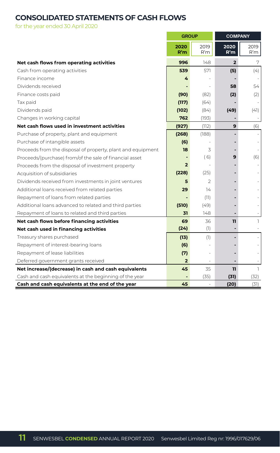## **CONSOLIDATED STATEMENTS OF CASH FLOWS**

for the year ended 30 April 2020

|                                                             | <b>GROUP</b>   |               | <b>COMPANY</b> |             |  |
|-------------------------------------------------------------|----------------|---------------|----------------|-------------|--|
|                                                             | 2020<br>R'm    | 2019<br>R'm   | 2020<br>R'm    | 2019<br>R'm |  |
| Net cash flows from operating activities                    | 996            | 148           | $\overline{2}$ | 7           |  |
| Cash from operating activities                              | 539            | 571           | (5)            | (4)         |  |
| Finance income                                              | 4              |               |                |             |  |
| Dividends received                                          |                |               | 58             | 54          |  |
| Finance costs paid                                          | (90)           | (82)          | (2)            | (2)         |  |
| Tax paid                                                    | (117)          | (64)          |                |             |  |
| Dividends paid                                              | (102)          | (84)          | (49)           | (41)        |  |
| Changes in working capital                                  | 762            | (193)         |                |             |  |
| Net cash flows used in investment activities                | (927)          | (112)         | 9              | (6)         |  |
| Purchase of property, plant and equipment                   | (268)          | (188)         |                |             |  |
| Purchase of intangible assets                               | (6)            |               |                |             |  |
| Proceeds from the disposal of property, plant and equipment | 18             | 3             |                |             |  |
| Proceeds/(purchase) from/of the sale of financial asset     |                | (6)           | 9              | (6)         |  |
| Proceeds from the disposal of investment property           | $\overline{2}$ |               |                |             |  |
| Acquisition of subsidiaries                                 | (228)          | (25)          |                |             |  |
| Dividends received from investments in joint ventures       | 5              | $\mathcal{P}$ |                |             |  |
| Additional loans received from related parties              | 29             | 14            |                |             |  |
| Repayment of loans from related parties                     |                | (11)          |                |             |  |
| Additional loans advanced to related and third parties      | (510)          | (49)          |                |             |  |
| Repayment of loans to related and third parties             | 31             | 148           |                |             |  |
| Net cash flows before financing activities                  | 69             | 36            | 11             | 1           |  |
| Net cash used in financing activities                       | (24)           | (1)           |                |             |  |
| Treasury shares purchased                                   | (13)           | (1)           |                |             |  |
| Repayment of interest-bearing loans                         | (6)            |               |                |             |  |
| Repayment of lease liabilities                              | (7)            |               |                |             |  |
| Deferred government grants received                         | $\overline{2}$ |               |                |             |  |
| Net increase/(decrease) in cash and cash equivalents        | 45             | 35            | 11             | T.          |  |
| Cash and cash equivalents at the beginning of the year      |                | (35)          | (31)           | (32)        |  |
| Cash and cash equivalents at the end of the year            | 45             |               | (20)           | (31)        |  |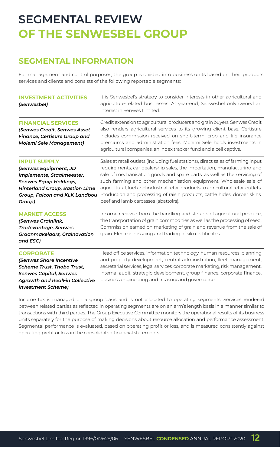## **SEGMENTAL REVIEW OF THE SENWESBEL GROUP**

## **SEGMENTAL INFORMATION**

For management and control purposes, the group is divided into business units based on their products, services and clients and consists of the following reportable segments:

| <b>INVESTMENT ACTIVITIES</b><br>(Senwesbel)                                                                                                                                             | It is Senwesbel's strategy to consider interests in other agricultural and<br>agriculture-related businesses. At year-end, Senwesbel only owned an<br>interest in Senwes Limited.                                                                                                                                                                                                                                                                                                                                     |
|-----------------------------------------------------------------------------------------------------------------------------------------------------------------------------------------|-----------------------------------------------------------------------------------------------------------------------------------------------------------------------------------------------------------------------------------------------------------------------------------------------------------------------------------------------------------------------------------------------------------------------------------------------------------------------------------------------------------------------|
| <b>FINANCIAL SERVICES</b><br>(Senwes Credit, Senwes Asset<br>Finance, Certisure Group and<br>Molemi Sele Management)                                                                    | Credit extension to agricultural producers and grain buyers. Senwes Credit<br>also renders agricultural services to its growing client base. Certisure<br>includes commission received on short-term, crop and life insurance<br>premiums and administration fees. Molemi Sele holds investments in<br>agricultural companies, an index tracker fund and a cell captive.                                                                                                                                              |
| <b>INPUT SUPPLY</b><br>(Senwes Equipment, JD<br>Implemente, Staalmeester,<br>Senwes Equip Holdings,<br><b>Hinterland Group, Bastion Lime</b><br>Group, Falcon and KLK Landbou<br>Group) | Sales at retail outlets (including fuel stations), direct sales of farming input<br>requirements, car dealership sales, the importation, manufacturing and<br>sale of mechanisation goods and spare parts, as well as the servicing of<br>such farming and other mechanisation equipment. Wholesale sale of<br>agricultural, fuel and industrial retail products to agricultural retail outlets.<br>Production and processing of raisin products, cattle hides, dorper skins,<br>beef and lamb carcasses (abattoirs). |
| <b>MARKET ACCESS</b><br>(Senwes Grainlink,<br>Tradevantage, Senwes<br>Graanmakelaars, Grainovation<br>and ESC)                                                                          | Income received from the handling and storage of agricultural produce,<br>the transportation of grain commodities as well as the processing of seed.<br>Commission earned on marketing of grain and revenue from the sale of<br>grain. Electronic issuing and trading of silo certificates.                                                                                                                                                                                                                           |
| <b>CORPORATE</b><br>(Senwes Share Incentive<br>Scheme Trust, Thobo Trust,<br><b>Senwes Capital, Senwes</b><br><b>Agrowth and RealFin Collective</b><br>Investment Scheme)               | Head office services, information technology, human resources, planning<br>and property development, central administration, fleet management,<br>secretarial services, legal services, corporate marketing, risk management,<br>internal audit, strategic development, group finance, corporate finance,<br>business engineering and treasury and governance.                                                                                                                                                        |

Income tax is managed on a group basis and is not allocated to operating segments. Services rendered between related parties as reflected in operating segments are on an arm's length basis in a manner similar to transactions with third parties. The Group Executive Committee monitors the operational results of its business units separately for the purpose of making decisions about resource allocation and performance assessment. Segmental performance is evaluated, based on operating profit or loss, and is measured consistently against operating profit or loss in the consolidated financial statements.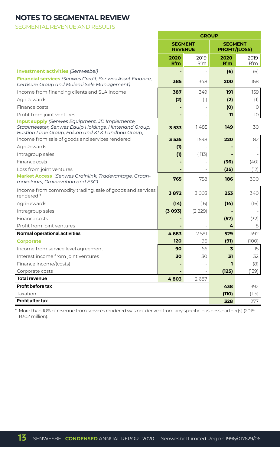## **NOTES TO SEGMENTAL REVIEW**

SEGMENTAL REVENUE AND RESULTS

|                                                                                                                                                                      | <b>GROUP</b>                     |             |                                        |             |  |
|----------------------------------------------------------------------------------------------------------------------------------------------------------------------|----------------------------------|-------------|----------------------------------------|-------------|--|
|                                                                                                                                                                      | <b>SEGMENT</b><br><b>REVENUE</b> |             | <b>SEGMENT</b><br><b>PROFIT/(LOSS)</b> |             |  |
|                                                                                                                                                                      | 2020<br>R'm                      | 2019<br>R'm | 2020<br>R'm                            | 2019<br>R'm |  |
| <b>Investment activities (Senwesbel)</b>                                                                                                                             | $\overline{a}$                   |             | (6)                                    | (6)         |  |
| Financial services (Senwes Credit, Senwes Asset Finance,<br>Certisure Group and Molemi Sele Management)                                                              | 385                              | 348         | 200                                    | 168         |  |
| Income from financing clients and SLA income                                                                                                                         | 387                              | 349         | 191                                    | 159         |  |
| AgriRewards                                                                                                                                                          | (2)                              | (1)         | (2)                                    | (1)         |  |
| Finance costs                                                                                                                                                        |                                  |             | (0)                                    | $\Omega$    |  |
| Profit from joint ventures                                                                                                                                           |                                  |             | 11                                     | 10          |  |
| <b>Input supply</b> (Senwes Equipment, JD Implemente,<br>Staalmeester, Senwes Equip Holdings, Hinterland Group,<br>Bastion Lime Group, Falcon and KLK Landbou Group) | 3533                             | 1485        | 149                                    | 30          |  |
| Income from sale of goods and services rendered                                                                                                                      | 3535                             | 1598        | 220                                    | 82          |  |
| AgriRewards                                                                                                                                                          | (1)                              |             |                                        |             |  |
| Intragroup sales                                                                                                                                                     | (1)                              | (113)       |                                        |             |  |
| Finance costs                                                                                                                                                        |                                  |             | (36)                                   | (40)        |  |
| Loss from joint ventures                                                                                                                                             |                                  |             | (35)                                   | (12)        |  |
| Market Access (Senwes Grainlink, Tradevantage, Graan-<br>makelaars, Grainovation and ESC)                                                                            | 765                              | 758         | 186                                    | 300         |  |
| Income from commodity trading, sale of goods and services<br>rendered*                                                                                               | 3872                             | 3003        | 253                                    | 340         |  |
| AgriRewards                                                                                                                                                          | (14)                             | (6)         | (14)                                   | (16)        |  |
| Intragroup sales                                                                                                                                                     | (3093)                           | (2 229)     |                                        |             |  |
| Finance costs                                                                                                                                                        |                                  |             | (57)                                   | (32)        |  |
| Profit from joint ventures                                                                                                                                           |                                  |             | 4                                      | 8           |  |
| Normal operational activities                                                                                                                                        | 4683                             | 2 5 9 1     | 529                                    | 492         |  |
| <b>Corporate</b>                                                                                                                                                     | 120                              | 96          | (91)                                   | (100)       |  |
| Income from service level agreement                                                                                                                                  | 90                               | 66          | $\overline{\mathbf{3}}$                | 15          |  |
| Interest income from joint ventures                                                                                                                                  | 30                               | 30          | 31                                     | 32          |  |
| Finance income/(costs)                                                                                                                                               |                                  |             | п                                      | (8)         |  |
| Corporate costs                                                                                                                                                      |                                  |             | (125)                                  | (139)       |  |
| <b>Total revenue</b>                                                                                                                                                 | 4803                             | 2687        |                                        |             |  |
| Profit before tax                                                                                                                                                    |                                  |             | 438                                    | 392         |  |
| Taxation                                                                                                                                                             |                                  |             | (110)                                  | (115)       |  |
| Profit after tax                                                                                                                                                     |                                  |             | 328                                    | 277         |  |

\* More than 10% of revenue from services rendered was not derived from any specific business partner(s) (2019: R302 million).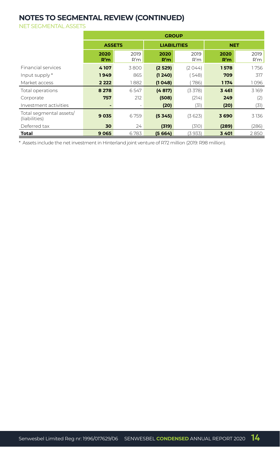## **NOTES TO SEGMENTAL REVIEW (CONTINUED)**

NET SEGMENTAL ASSETS

|                                          | <b>GROUP</b>  |             |                    |             |             |             |
|------------------------------------------|---------------|-------------|--------------------|-------------|-------------|-------------|
|                                          | <b>ASSETS</b> |             | <b>LIABILITIES</b> |             | <b>NET</b>  |             |
|                                          | 2020<br>R'm   | 2019<br>R'm | 2020<br>R'm        | 2019<br>R'm | 2020<br>R'm | 2019<br>R'm |
| <b>Financial services</b>                | 4107          | 3800        | (2529)             | (2044)      | 1578        | 1756        |
| Input supply *                           | 1949          | 865         | (1240)             | 548)        | 709         | 317         |
| Market access                            | 2 2 2 2       | 1882        | (1048)             | 786)        | 1174        | 1096        |
| Total operations                         | 8 2 7 8       | 6547        | (4817)             | (3378)      | 3461        | 3169        |
| Corporate                                | 757           | 212         | (508)              | (214)       | 249         | (2)         |
| Investment activities                    |               | ٠           | (20)               | (31)        | (20)        | (31)        |
| Total segmental assets/<br>(liabilities) | 9 0 3 5       | 6759        | (5345)             | (3623)      | 3690        | 3136        |
| Deferred tax                             | 30            | 24          | (319)              | (310)       | (289)       | (286)       |
| Total                                    | 9065          | 6783        | (5664)             | (3933)      | 3401        | 2850        |

\* Assets include the net investment in Hinterland joint venture of R72 million (2019: R98 million).